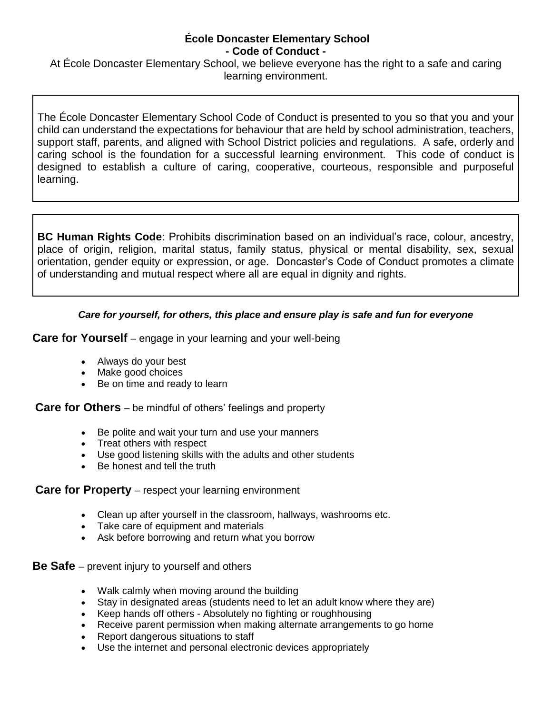#### **École Doncaster Elementary School - Code of Conduct -**

At École Doncaster Elementary School, we believe everyone has the right to a safe and caring learning environment.

The École Doncaster Elementary School Code of Conduct is presented to you so that you and your child can understand the expectations for behaviour that are held by school administration, teachers, support staff, parents, and aligned with School District policies and regulations. A safe, orderly and caring school is the foundation for a successful learning environment. This code of conduct is designed to establish a culture of caring, cooperative, courteous, responsible and purposeful learning.

**BC Human Rights Code**: Prohibits discrimination based on an individual's race, colour, ancestry, place of origin, religion, marital status, family status, physical or mental disability, sex, sexual orientation, gender equity or expression, or age. Doncaster's Code of Conduct promotes a climate of understanding and mutual respect where all are equal in dignity and rights.

## *Care for yourself, for others, this place and ensure play is safe and fun for everyone*

**Care for Yourself** – engage in your learning and your well-being

- Always do your best
- Make good choices
- Be on time and ready to learn

**Care for Others** – be mindful of others' feelings and property

- Be polite and wait your turn and use your manners
- Treat others with respect
- Use good listening skills with the adults and other students
- Be honest and tell the truth

## **Care for Property** – respect your learning environment

- Clean up after yourself in the classroom, hallways, washrooms etc.
- Take care of equipment and materials
- Ask before borrowing and return what you borrow

**Be Safe** – prevent injury to yourself and others

- Walk calmly when moving around the building
- Stay in designated areas (students need to let an adult know where they are)
- Keep hands off others Absolutely no fighting or roughhousing
- Receive parent permission when making alternate arrangements to go home
- Report dangerous situations to staff
- Use the internet and personal electronic devices appropriately